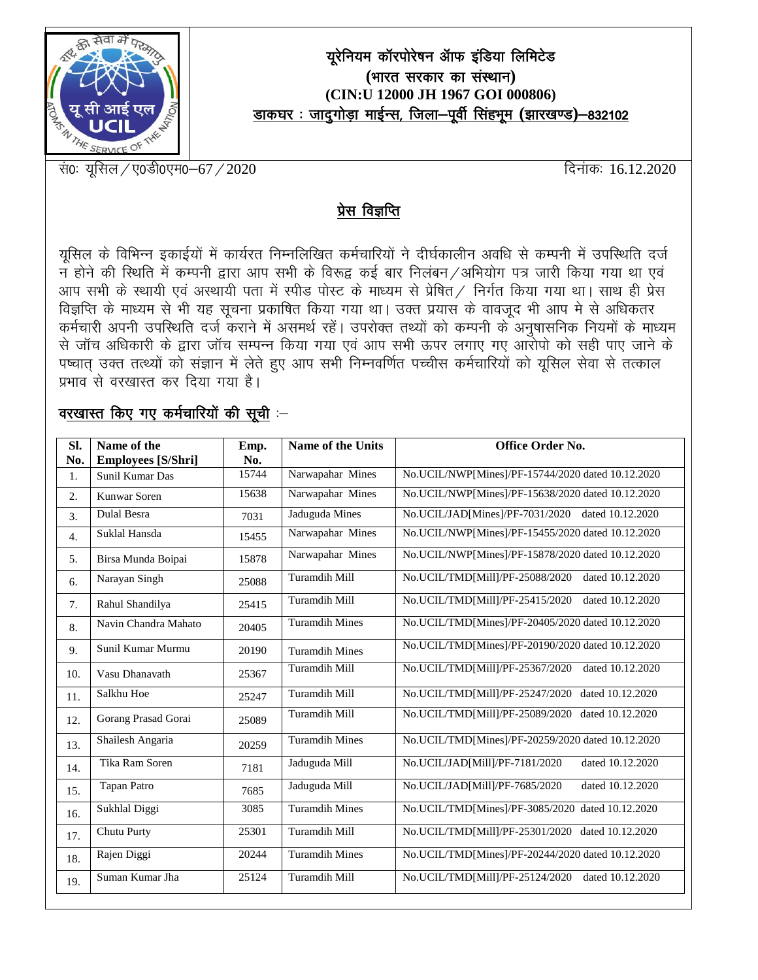

## यूरेनियम कॉरपोरेषन ऑफ इंडिया लिमिटेड (भारत सरकार का संस्थान) (CIN:U 12000 JH 1967 GOI 000806) डाकघर: जादुगोड़ा माईन्स, जिला-पूर्वी सिंहभूम (झारखण्ड)-832102

सं0: यूसिल / ए0डी0एम0-67 / 2020

दिनाक: 16.12.2020

## प्रेस विज्ञप्ति

यूसिल के विभिन्न इकाईयों में कार्यरत निम्नलिखित कर्मचारियों ने दीर्घकालीन अवधि से कम्पनी में उपस्थिति दर्ज न होने की स्थिति में कम्पनी द्वारा आप सभी के विरूद्व कई बार निलंबन /अभियोग पत्र जारी किया गया था एवं आप सभी के स्थायी एवं अस्थायी पता में स्पीड पोस्ट के माध्यम से प्रेषित / निर्गत किया गया था। साथ ही प्रेस विज्ञप्ति के माध्यम से भी यह सूचना प्रकाषित किया गया था। उक्त प्रयास के वावजूद भी आप मे से अधिकतर कर्मचारी अपनी उपस्थिति दर्ज कराने में असमर्थ रहें। उपरोक्त तथ्यों को कम्पनी के अनुषासनिक नियमों के माध्यम से जॉच अधिकारी के द्वारा जॉच सम्पन्न किया गया एवं आप सभी ऊपर लगाए गए आरोपो को सही पाए जाने के पष्चात उक्त तत्थ्यों को संज्ञान में लेते हुए आप सभी निम्नवर्णित पच्चीस कर्मचारियों को यूसिल सेवा से तत्काल प्रभाव<sup>ं</sup>से वरखास्त कर दिया गया है।

## वरखास्त किए गए कर्मचारियों की सूची :-

| SI.<br>No.       | Name of the<br><b>Employees</b> [S/Shri] | Emp.<br>No. | Name of the Units     | Office Order No.                                    |
|------------------|------------------------------------------|-------------|-----------------------|-----------------------------------------------------|
| 1.               | Sunil Kumar Das                          | 15744       | Narwapahar Mines      | No.UCIL/NWP[Mines]/PF-15744/2020 dated 10.12.2020   |
| 2.               | Kunwar Soren                             | 15638       | Narwapahar Mines      | No.UCIL/NWP[Mines]/PF-15638/2020 dated 10.12.2020   |
| 3.               | Dulal Besra                              | 7031        | Jaduguda Mines        | No.UCIL/JAD[Mines]/PF-7031/2020<br>dated 10.12.2020 |
| $\overline{4}$ . | Suklal Hansda                            | 15455       | Narwapahar Mines      | No.UCIL/NWP[Mines]/PF-15455/2020 dated 10.12.2020   |
| 5.               | Birsa Munda Boipai                       | 15878       | Narwapahar Mines      | No.UCIL/NWP[Mines]/PF-15878/2020 dated 10.12.2020   |
| 6.               | Narayan Singh                            | 25088       | Turamdih Mill         | No.UCIL/TMD[Mill]/PF-25088/2020<br>dated 10.12.2020 |
| 7.               | Rahul Shandilya                          | 25415       | Turamdih Mill         | No.UCIL/TMD[Mill]/PF-25415/2020<br>dated 10.12.2020 |
| 8.               | Navin Chandra Mahato                     | 20405       | <b>Turamdih Mines</b> | No.UCIL/TMD[Mines]/PF-20405/2020 dated 10.12.2020   |
| 9.               | Sunil Kumar Murmu                        | 20190       | <b>Turamdih Mines</b> | No.UCIL/TMD[Mines]/PF-20190/2020 dated 10.12.2020   |
| 10.              | Vasu Dhanavath                           | 25367       | <b>Turamdih Mill</b>  | No.UCIL/TMD[Mill]/PF-25367/2020<br>dated 10.12.2020 |
| 11.              | Salkhu Hoe                               | 25247       | Turamdih Mill         | No.UCIL/TMD[Mill]/PF-25247/2020<br>dated 10.12.2020 |
| 12.              | Gorang Prasad Gorai                      | 25089       | Turamdih Mill         | No.UCIL/TMD[Mill]/PF-25089/2020<br>dated 10.12.2020 |
| 13.              | Shailesh Angaria                         | 20259       | <b>Turamdih Mines</b> | No.UCIL/TMD[Mines]/PF-20259/2020 dated 10.12.2020   |
| 14.              | Tika Ram Soren                           | 7181        | Jaduguda Mill         | No.UCIL/JAD[Mill]/PF-7181/2020<br>dated 10.12.2020  |
| 15.              | <b>Tapan Patro</b>                       | 7685        | Jaduguda Mill         | No.UCIL/JAD[Mill]/PF-7685/2020<br>dated 10.12.2020  |
| 16.              | Sukhlal Diggi                            | 3085        | <b>Turamdih Mines</b> | No.UCIL/TMD[Mines]/PF-3085/2020 dated 10.12.2020    |
| 17.              | Chutu Purty                              | 25301       | Turamdih Mill         | No.UCIL/TMD[Mill]/PF-25301/2020 dated 10.12.2020    |
| 18.              | Rajen Diggi                              | 20244       | <b>Turamdih Mines</b> | No.UCIL/TMD[Mines]/PF-20244/2020 dated 10.12.2020   |
| 19.              | Suman Kumar Jha                          | 25124       | Turamdih Mill         | No.UCIL/TMD[Mill]/PF-25124/2020<br>dated 10.12.2020 |